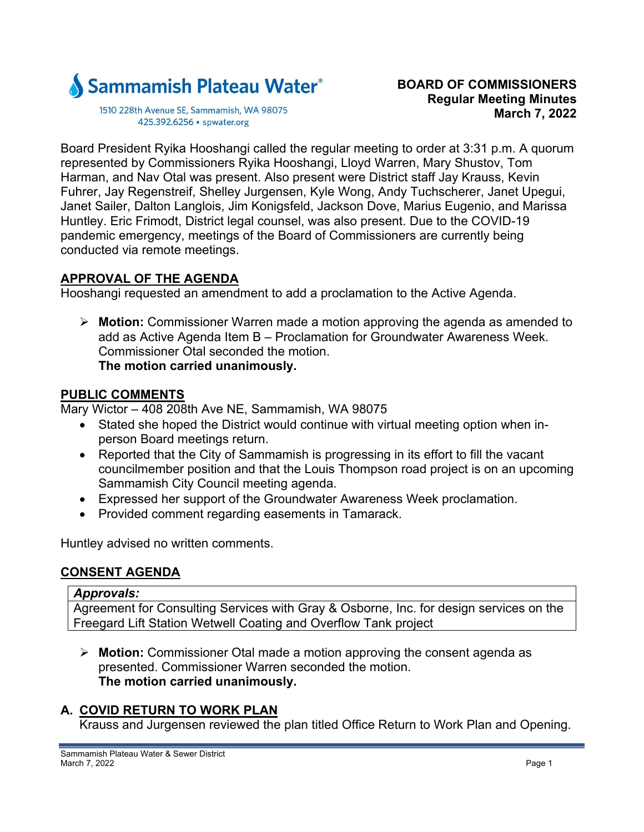

1510 228th Avenue SE, Sammamish, WA 98075 425.392.6256 · spwater.org

Board President Ryika Hooshangi called the regular meeting to order at 3:31 p.m. A quorum represented by Commissioners Ryika Hooshangi, Lloyd Warren, Mary Shustov, Tom Harman, and Nav Otal was present. Also present were District staff Jay Krauss, Kevin Fuhrer, Jay Regenstreif, Shelley Jurgensen, Kyle Wong, Andy Tuchscherer, Janet Upegui, Janet Sailer, Dalton Langlois, Jim Konigsfeld, Jackson Dove, Marius Eugenio, and Marissa Huntley. Eric Frimodt, District legal counsel, was also present. Due to the COVID-19 pandemic emergency, meetings of the Board of Commissioners are currently being conducted via remote meetings.

## **APPROVAL OF THE AGENDA**

Hooshangi requested an amendment to add a proclamation to the Active Agenda.

 **Motion:** Commissioner Warren made a motion approving the agenda as amended to add as Active Agenda Item B – Proclamation for Groundwater Awareness Week. Commissioner Otal seconded the motion. **The motion carried unanimously.** 

## **PUBLIC COMMENTS**

Mary Wictor – 408 208th Ave NE, Sammamish, WA 98075

- Stated she hoped the District would continue with virtual meeting option when inperson Board meetings return.
- Reported that the City of Sammamish is progressing in its effort to fill the vacant councilmember position and that the Louis Thompson road project is on an upcoming Sammamish City Council meeting agenda.
- Expressed her support of the Groundwater Awareness Week proclamation.
- Provided comment regarding easements in Tamarack.

Huntley advised no written comments.

# **CONSENT AGENDA**

#### *Approvals:*

Agreement for Consulting Services with Gray & Osborne, Inc. for design services on the Freegard Lift Station Wetwell Coating and Overflow Tank project

 **Motion:** Commissioner Otal made a motion approving the consent agenda as presented. Commissioner Warren seconded the motion. **The motion carried unanimously.** 

# **A. COVID RETURN TO WORK PLAN**

Krauss and Jurgensen reviewed the plan titled Office Return to Work Plan and Opening.